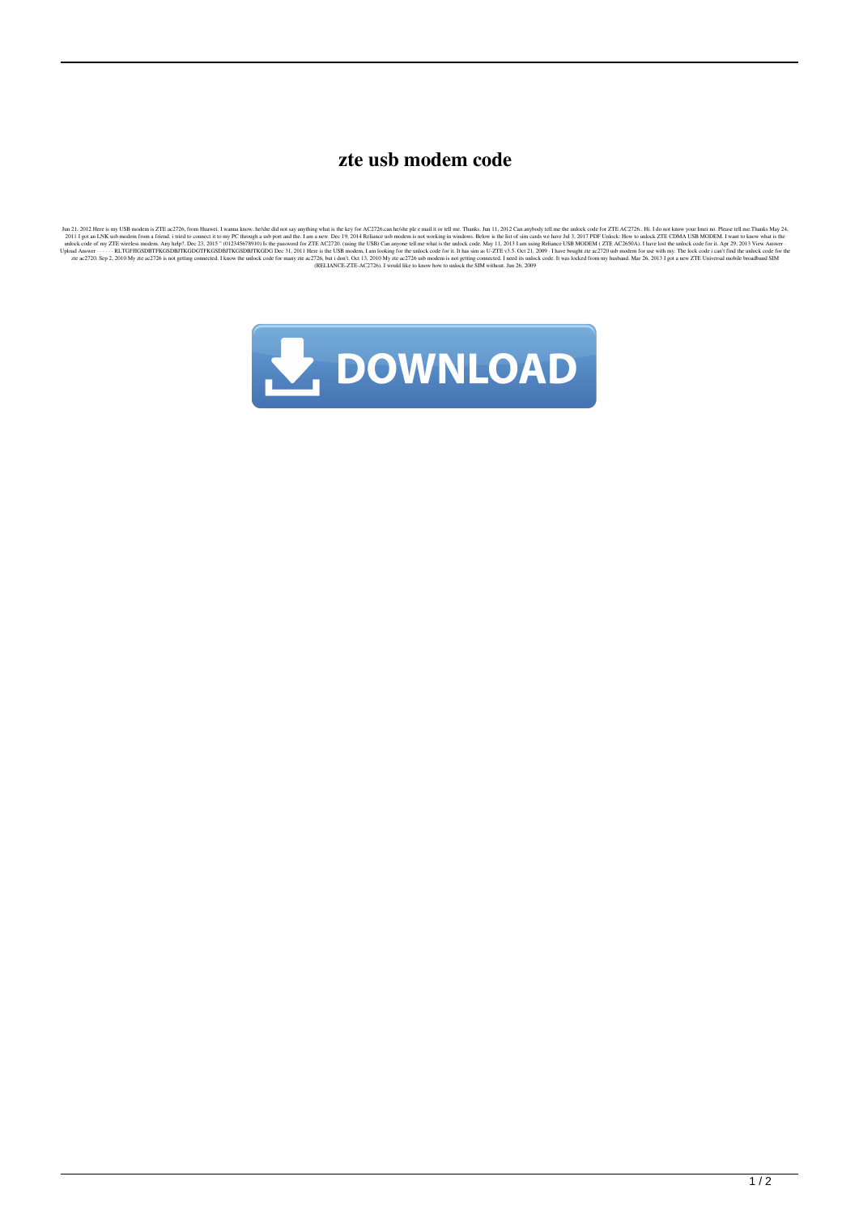## **zte usb modem code**

Jul 2012 Here is my USB modern is TUE act?26, from Huavel, I wand know helebal on a spany and is the key for AC275 can lebal is of a man a here in a man know. belower the subject of the seculi of the state is the state of